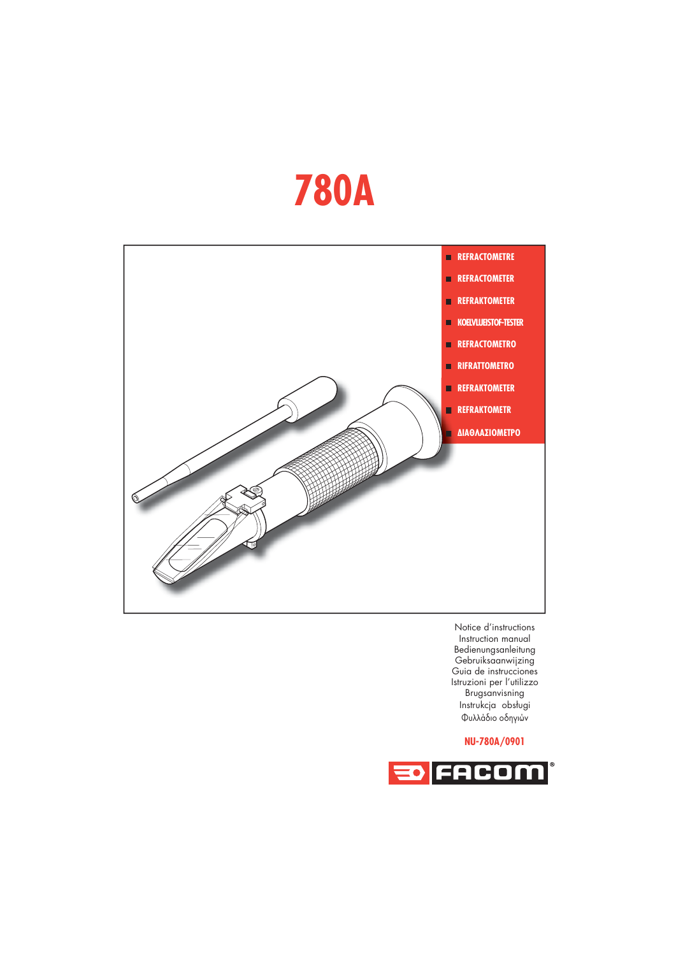## **780A**



Notice d'instructions Instruction manual Bedienungsanleitung Gebruiksaanwijzing Guia de instrucciones Istruzioni per l'utilizzo Brugsanvisning Instrukcja obsługi Φυλλάδιο οδηγιών

## **NU-780A/0901**

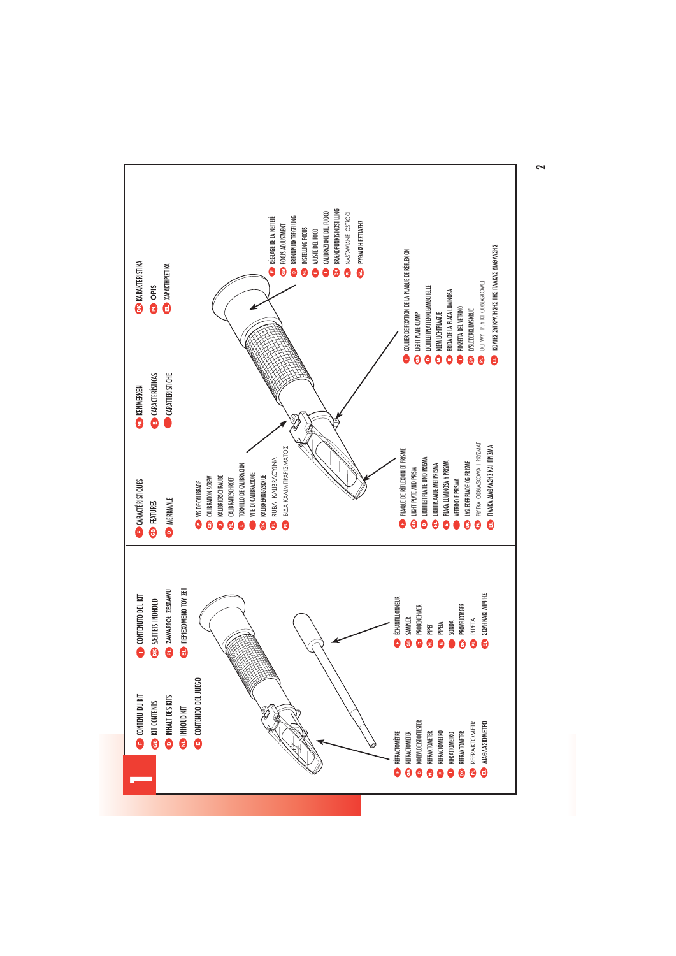

 $\sim$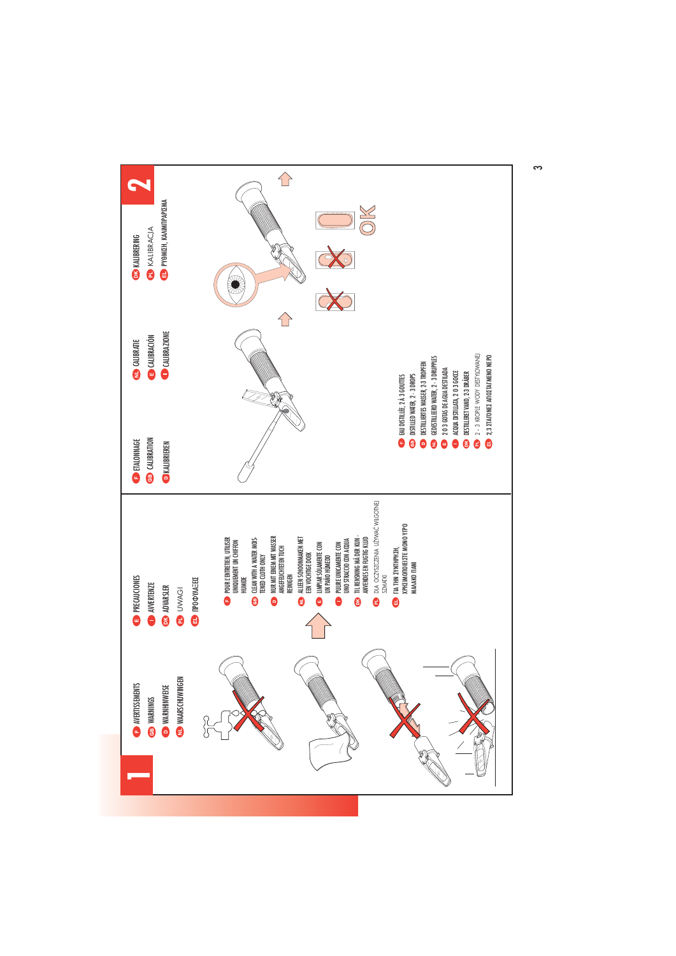

 $\sim$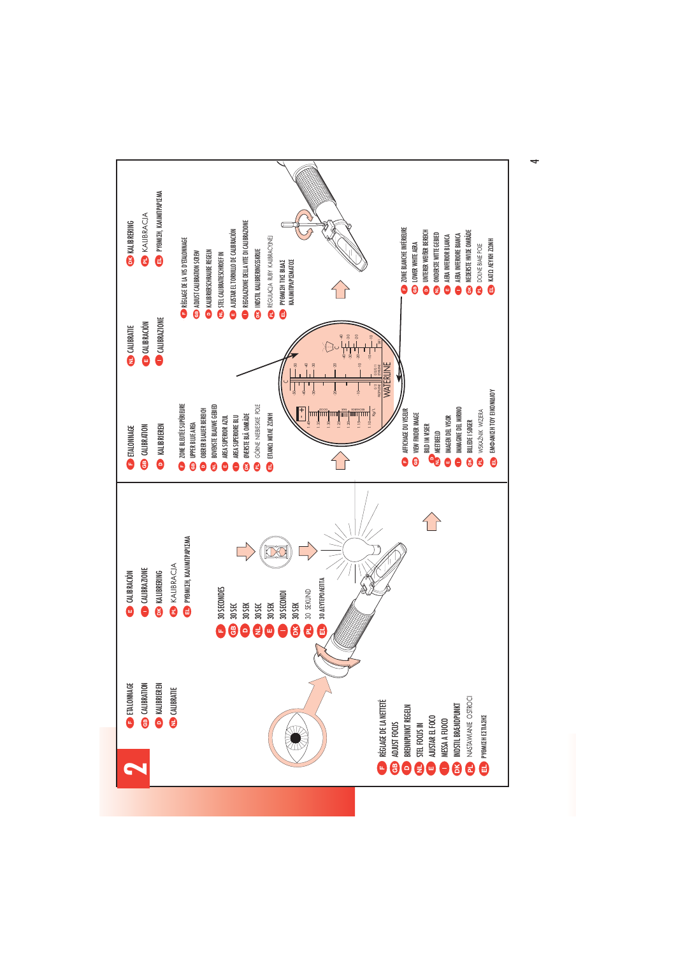

4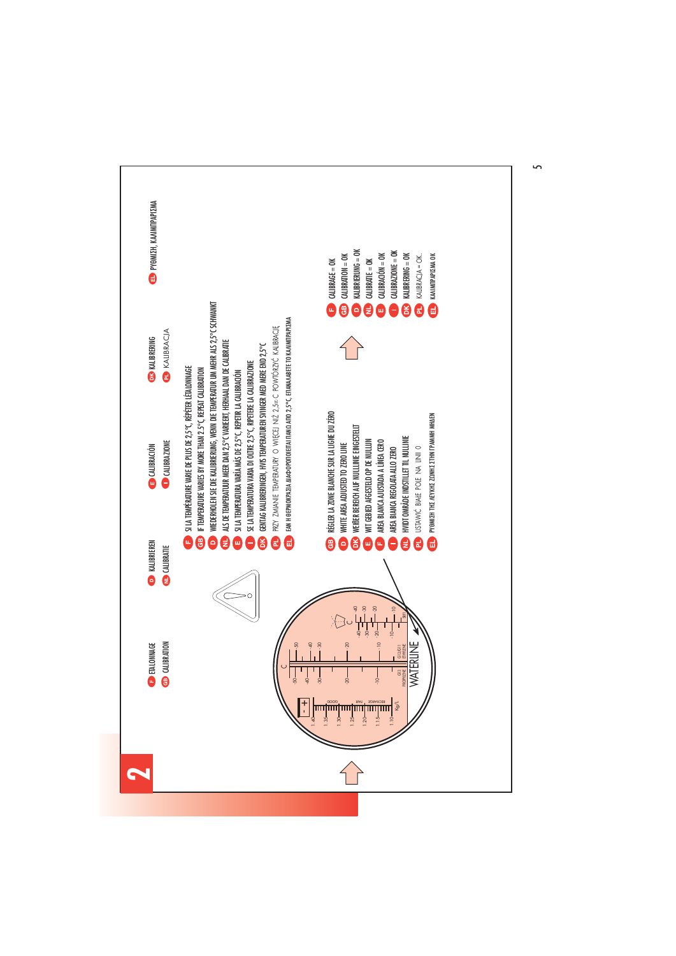

5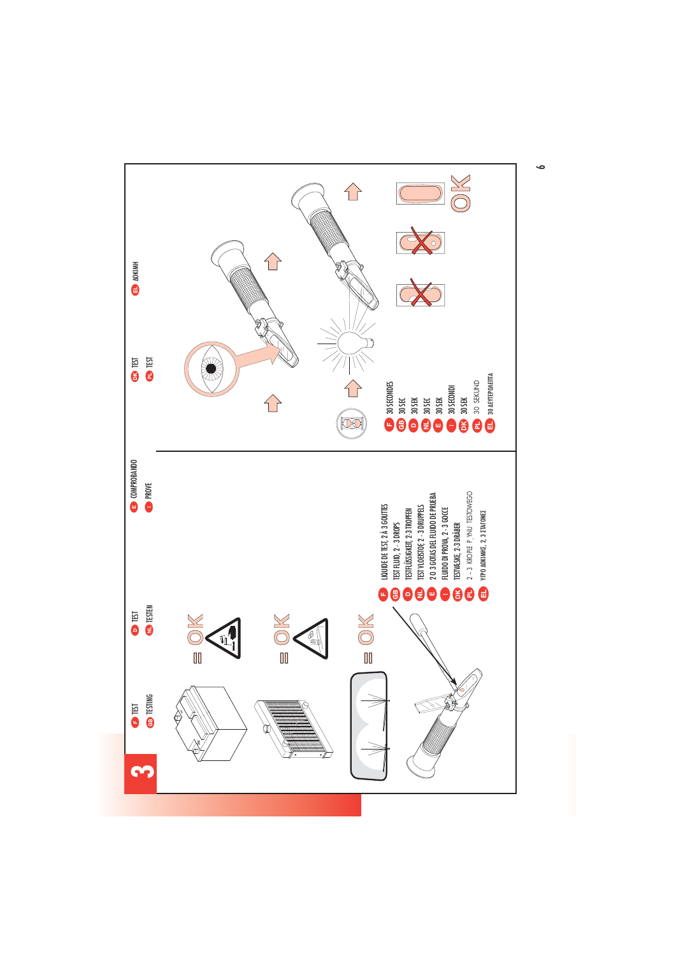

 $\bullet$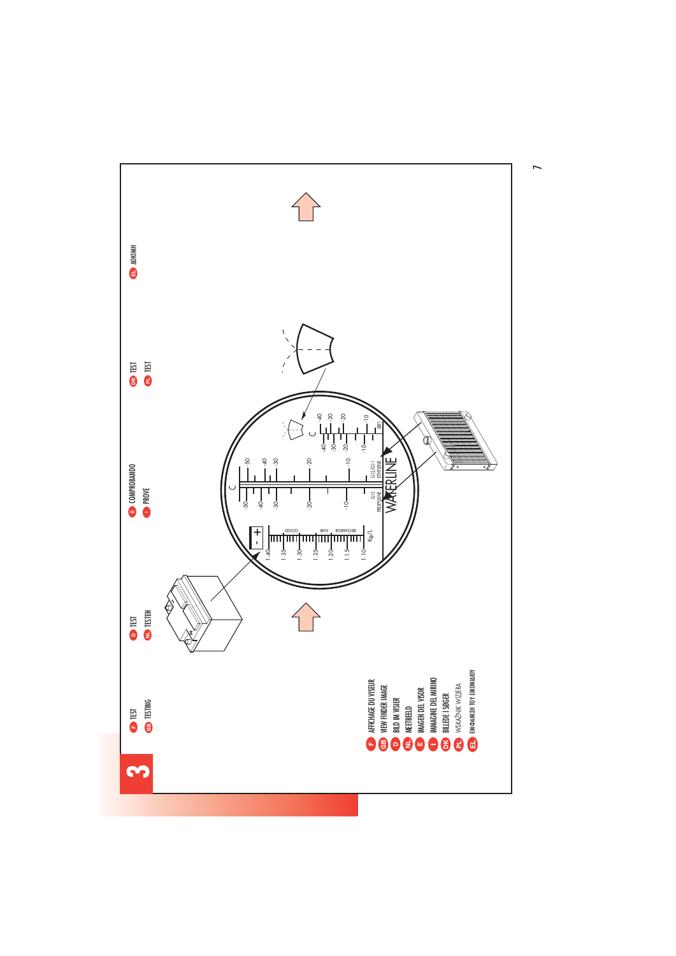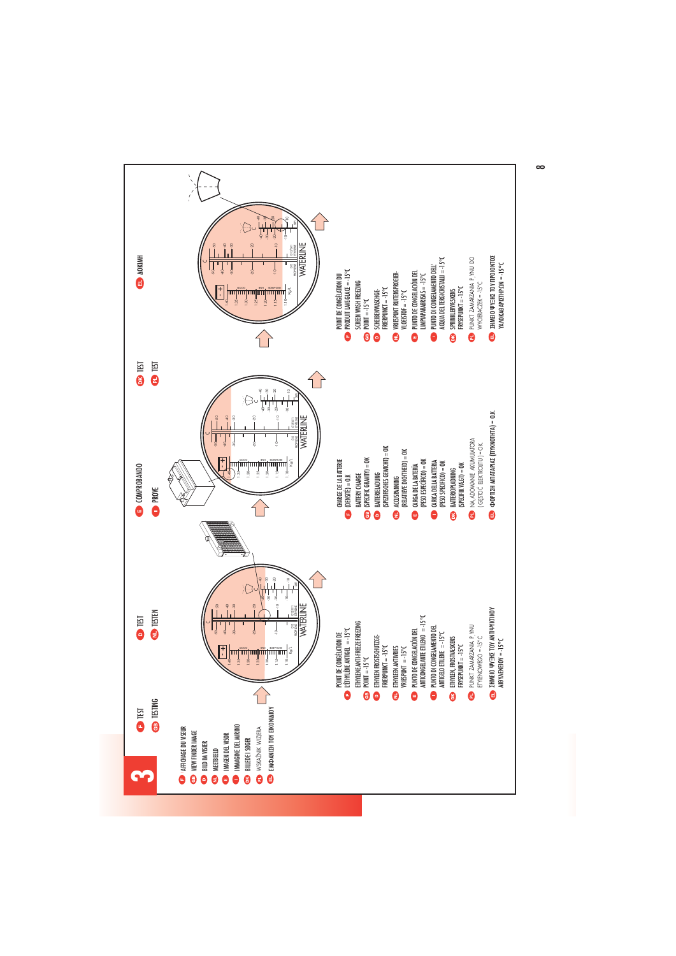

 $\infty$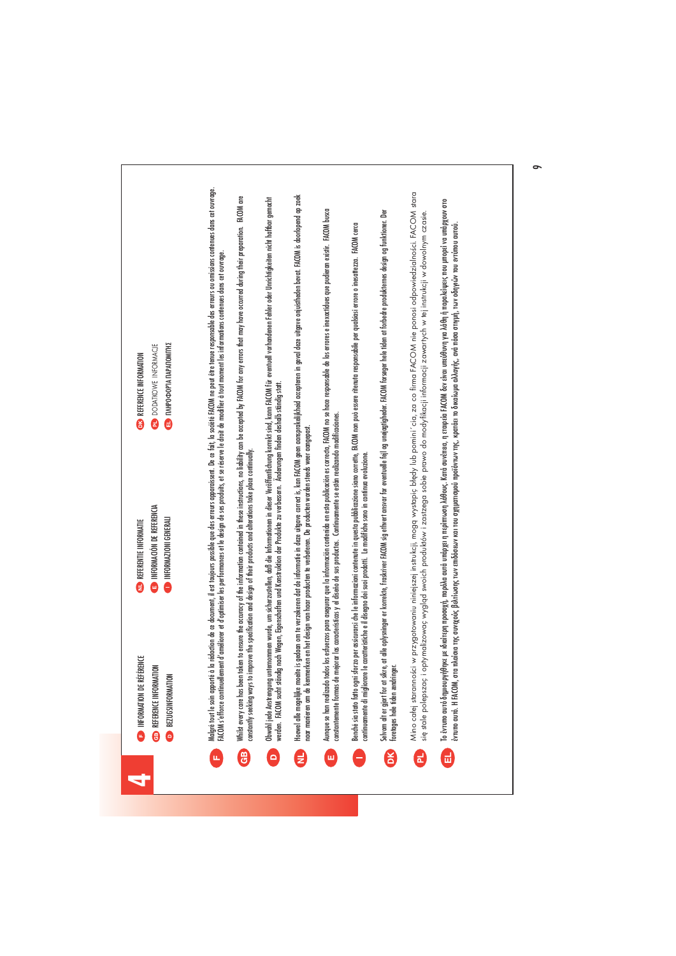|                | INFORMATION DE RÉFÉRENCE<br><b>CB</b> REFERENCE INFORMATION<br><b>D</b> BEZUGSINFORMATION                                                              | INFORMACIÓN DE REFERENCIA<br>INFORMAZIONI GENERALI<br><b>CONNECTERENTIE INFORMATIE</b>                                   | Malgré tout le soin apporté à la rédaction de ce document, il est toujours possible que des enveroissent. De ce fait, la société FACOM ne peut être tenue esponsable des erreurs ou omissions contenues dans en ouvrage.<br>FACOM s'efforce continuellement d'améliorer et d'optimiser les performances et le design de ses produits, et se réserve le droit de modifier à tout moment les informations contenues dans cet ouvrage.<br><b>ED</b> INHPOOPIA DAPADOMITHI<br><b>DODATKOWE INFORMACIE</b><br><b>ED</b> REFERENCE INFORMATION |
|----------------|--------------------------------------------------------------------------------------------------------------------------------------------------------|--------------------------------------------------------------------------------------------------------------------------|------------------------------------------------------------------------------------------------------------------------------------------------------------------------------------------------------------------------------------------------------------------------------------------------------------------------------------------------------------------------------------------------------------------------------------------------------------------------------------------------------------------------------------------|
| GB)            | constantly seeking ways to                                                                                                                             | improve the specification and design of their products and alterations take place continually.                           | Which every care has been token to ensure the accuracy of the information contained in these instructions, no liability can be accepted by FACOM for any errors that may have occurred during their preparation. FACOM are                                                                                                                                                                                                                                                                                                               |
| $\circ$        | werden. FACOM sucht stär                                                                                                                               | ndig nach Wegen, Eigenschaften und Konstruktion der Produkte zu verbessern. Änderungen finden deshalb ständig statt.     | Obwohl jede Anstrengung unternommen wurde, um sicherzustellen, daß die Informationen in deser Veröffentlichung korrekt sind, kann FACOM für eventuell vorhandenen Fehler oder Unrichtigkeiten nicht haftbar gemacht                                                                                                                                                                                                                                                                                                                      |
| E              |                                                                                                                                                        | naar manieren om de kenmerken en het design van haar producten te verbeteren. De producten worden steeds weer aangepast. | Hoewel alle mogelike moeite is gedaan om te verzekeren dat de informatie in deze uitgave correct is, kan FACOM geen aansprakelijkheid accepteren in geval deze uitgave onjustheden bevat. FACOM is doorlopend op zoek                                                                                                                                                                                                                                                                                                                    |
| ш              | constantemente formas de                                                                                                                               | mejorar las características y el diseño de sus productos. Contínuamente se están realizando modificaciones.              | Aunque se han realizado todes los estverzos para ase la información contenido en esta publicación es correcta, FACOM no se hace responsable de los errores e inexacidues que pudieran existir. FACOM busca                                                                                                                                                                                                                                                                                                                               |
|                | continuamente di migliorare le caratteristiche e il disegno dei suoi prodotti. Le modifiche sono in continua evoluzione.<br>Benché sia stato fatto ogn |                                                                                                                          | sforzo per assicurarsi che le informazioni contenute in questa quebblicazione siano corrette, FACOM non può essere ritenuta responsabile per qualsiasi errore o inesattezza. FACOM cerca                                                                                                                                                                                                                                                                                                                                                 |
| DK             | foretages hele tiden ændringer.<br>Selvom alt er gjort for at                                                                                          |                                                                                                                          | skre, at alle oplysninger er korrekte, frakriver RiCOM sig ethvert ansvar for eventuelle fejl og unøjagiteler. FACOM forsøger hele iden at forbedre produkternes design og funktioner. Der                                                                                                                                                                                                                                                                                                                                               |
| 리              |                                                                                                                                                        |                                                                                                                          | Mino całej staranności w przygotowaniu niniejszej instrukcji, mogą wystopic błędy lub pomini ´cia, za co firma FACOM nie ponosi odpowiedzialności. FACOM stara<br>się stale polepszac i optymalizowac wygląd swoich produktów i zastzega sobie prawo do modyfikacji informacji zawartych w tej instrukcji w dowolnym czasie.                                                                                                                                                                                                             |
| $\blacksquare$ | έντυπο αυτό. Η FACOM,                                                                                                                                  |                                                                                                                          | Το έντυπο αυτό δημιουργήθηκε με ιδιαίτερη προσοχή, παρόλα αυτά υπόμετα η περία του κάντου παρούν του και συναλ<br>στα πλαίσια της συνεχούς βελτίωσης των επιδόσεων και του σχηματομού προϊόντων της, κρατίει το δικαίωμα ανά πόσα στημή, των οδηγιών του εντύπου αυτού.                                                                                                                                                                                                                                                                  |
|                |                                                                                                                                                        |                                                                                                                          |                                                                                                                                                                                                                                                                                                                                                                                                                                                                                                                                          |

 $\circ$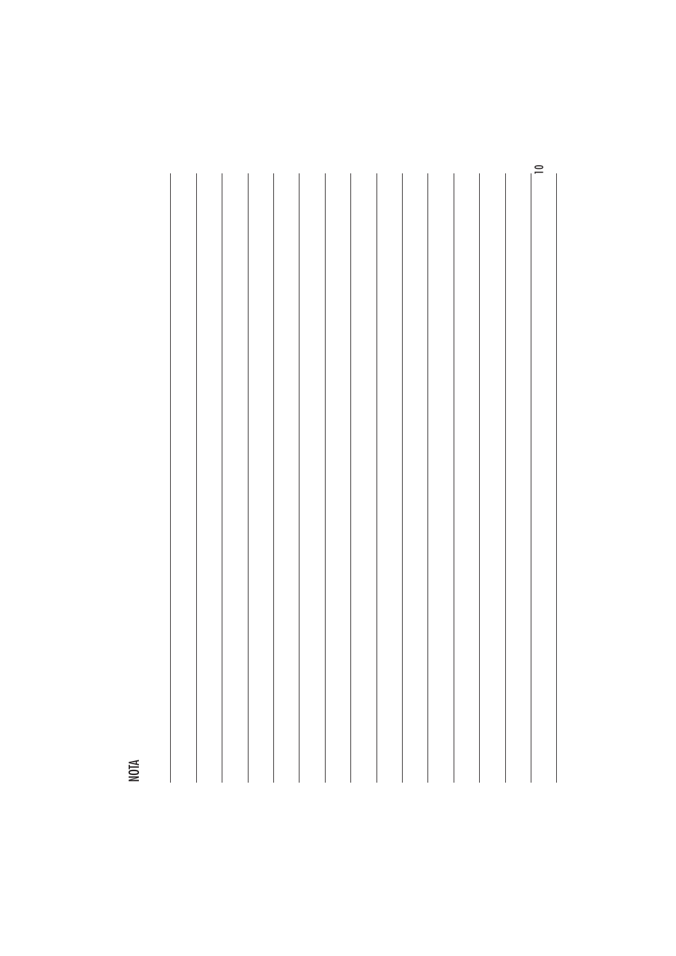

NOTA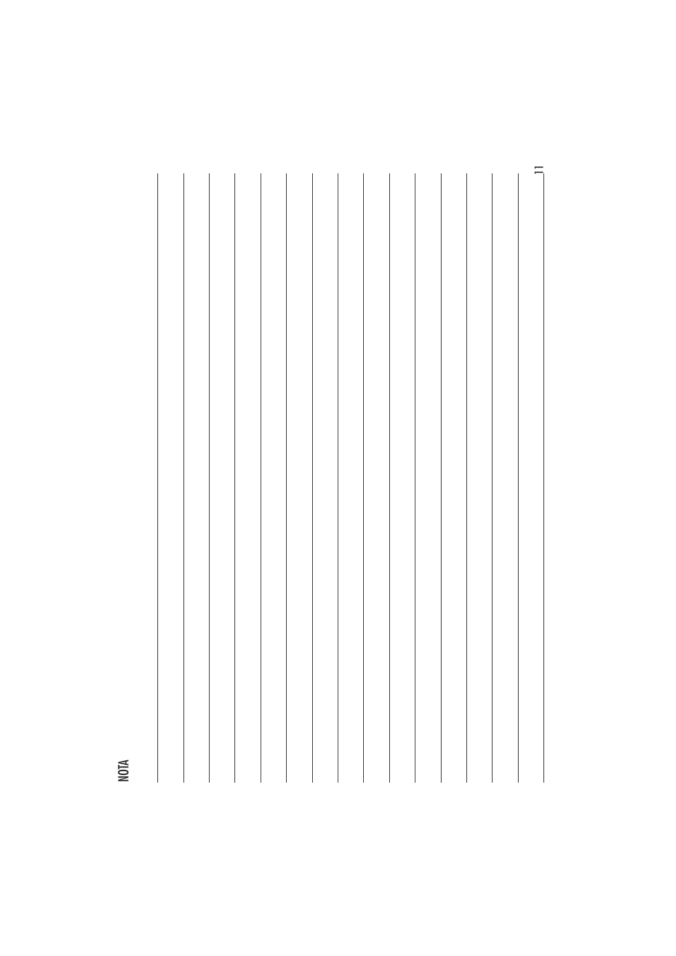

NOTA